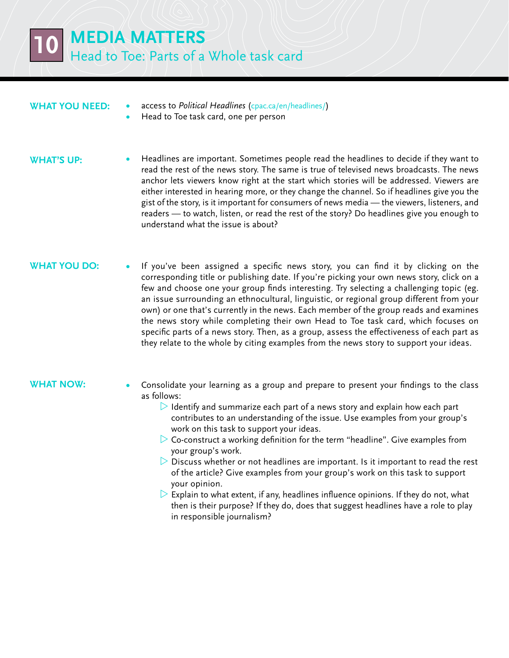## **What you need:**

- **•**  access to *Political Headlines* [\(cpac.ca/en/headlines/\)]((http://www.cpac.ca/en/headlines/)
	- **Head to Toe task card, one per person**

### **WHAT'S UP:**

**•**  Headlines are important. Sometimes people read the headlines to decide if they want to read the rest of the news story. The same is true of televised news broadcasts. The news anchor lets viewers know right at the start which stories will be addressed. Viewers are either interested in hearing more, or they change the channel. So if headlines give you the gist of the story, is it important for consumers of news media — the viewers, listeners, and readers — to watch, listen, or read the rest of the story? Do headlines give you enough to understand what the issue is about?

## **WHAT YOU DO:**

If you've been assigned a specific news story, you can find it by clicking on the corresponding title or publishing date. If you're picking your own news story, click on a few and choose one your group finds interesting. Try selecting a challenging topic (eg. an issue surrounding an ethnocultural, linguistic, or regional group different from your own) or one that's currently in the news. Each member of the group reads and examines the news story while completing their own Head to Toe task card, which focuses on specific parts of a news story. Then, as a group, assess the effectiveness of each part as they relate to the whole by citing examples from the news story to support your ideas.

### **What now:**

- Consolidate your learning as a group and prepare to present your findings to the class as follows:
	- $\triangleright$  Identify and summarize each part of a news story and explain how each part contributes to an understanding of the issue. Use examples from your group's work on this task to support your ideas.
	- $\triangleright$  Co-construct a working definition for the term "headline". Give examples from your group's work.
	- $\triangleright$  Discuss whether or not headlines are important. Is it important to read the rest of the article? Give examples from your group's work on this task to support your opinion.
	- $\triangleright$  Explain to what extent, if any, headlines influence opinions. If they do not, what then is their purpose? If they do, does that suggest headlines have a role to play in responsible journalism?